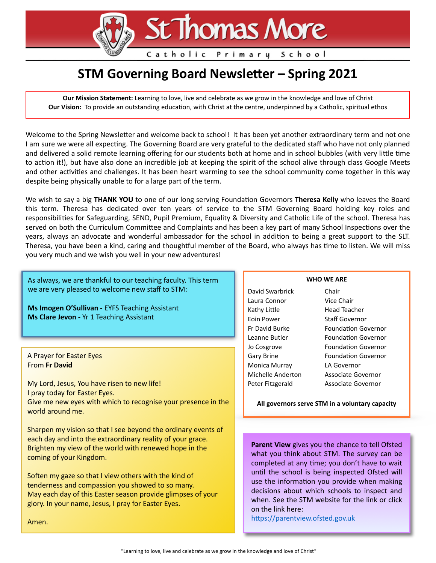# St Thomas More

Catholic Primary School

## **STM Governing Board Newsletter - Spring 2021**

**Our Mission Statement:** Learning to love, live and celebrate as we grow in the knowledge and love of Christ **Our Vision:** To provide an outstanding education, with Christ at the centre, underpinned by a Catholic, spiritual ethos

Welcome to the Spring Newsletter and welcome back to school! It has been yet another extraordinary term and not one I am sure we were all expecting. The Governing Board are very grateful to the dedicated staff who have not only planned and delivered a solid remote learning offering for our students both at home and in school bubbles (with very little time to action it!), but have also done an incredible job at keeping the spirit of the school alive through class Google Meets and other activities and challenges. It has been heart warming to see the school community come together in this way despite being physically unable to for a large part of the term.

We wish to say a big THANK YOU to one of our long serving Foundation Governors Theresa Kelly who leaves the Board this term. Theresa has dedicated over ten years of service to the STM Governing Board holding key roles and responsibilities for Safeguarding, SEND, Pupil Premium, Equality & Diversity and Catholic Life of the school. Theresa has served on both the Curriculum Committee and Complaints and has been a key part of many School Inspections over the years, always an advocate and wonderful ambassador for the school in addition to being a great support to the SLT. Theresa, you have been a kind, caring and thoughtful member of the Board, who always has time to listen. We will miss you very much and we wish you well in your new adventures!

As always, we are thankful to our teaching faculty. This term we are very pleased to welcome new staff to STM:

**Ms Imogen O'Sullivan -** EYFS Teaching Assistant **Ms Clare Jevon -** Yr 1 Teaching Assistant

#### A Prayer for Easter Eyes From **Fr David**

My Lord, Jesus, You have risen to new life! I pray today for Easter Eyes. Give me new eyes with which to recognise your presence in the world around me.

Sharpen my vision so that I see beyond the ordinary events of each day and into the extraordinary reality of your grace. Brighten my view of the world with renewed hope in the coming of your Kingdom.

Soften my gaze so that I view others with the kind of tenderness and compassion you showed to so many. May each day of this Easter season provide glimpses of your glory. In your name, Jesus, I pray for Easter Eyes.

#### **WHO WE ARE**

David Swarbrick Chair Laura Connor Vice Chair Kathy Little Head Teacher Eoin Power Staff Governor Fr David Burke Foundation Governor Leanne Butler Foundation Governor Jo Cosgrove Foundation Governor Gary Brine Foundation Governor Monica Murray LA Governor Michelle Anderton Associate Governor Peter Fitzgerald Associate Governor

**All governors serve STM in a voluntary capacity**

**Parent View** gives you the chance to tell Ofsted what you think about STM. The survey can be completed at any time; you don't have to wait until the school is being inspected Ofsted will use the information you provide when making decisions about which schools to inspect and when. See the STM website for the link or click on the link here:

https://parentview.ofsted.gov.uk

Amen.